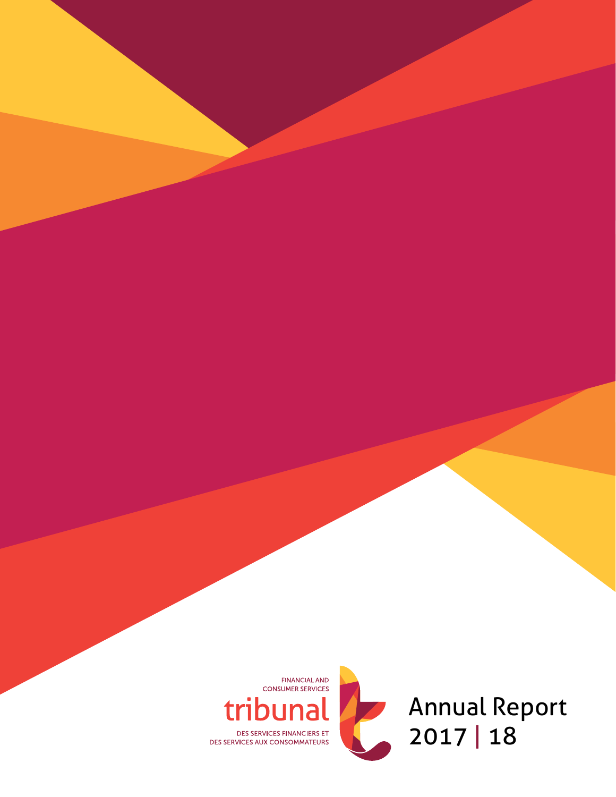

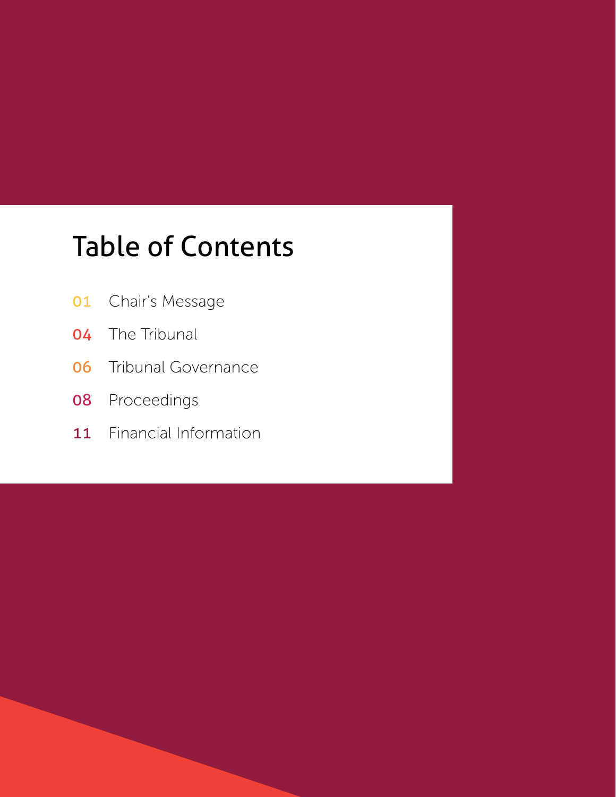# Table of Contents

- Chair's Message
- The Tribunal
- Tribunal Governance
- Proceedings
- 11 Financial Information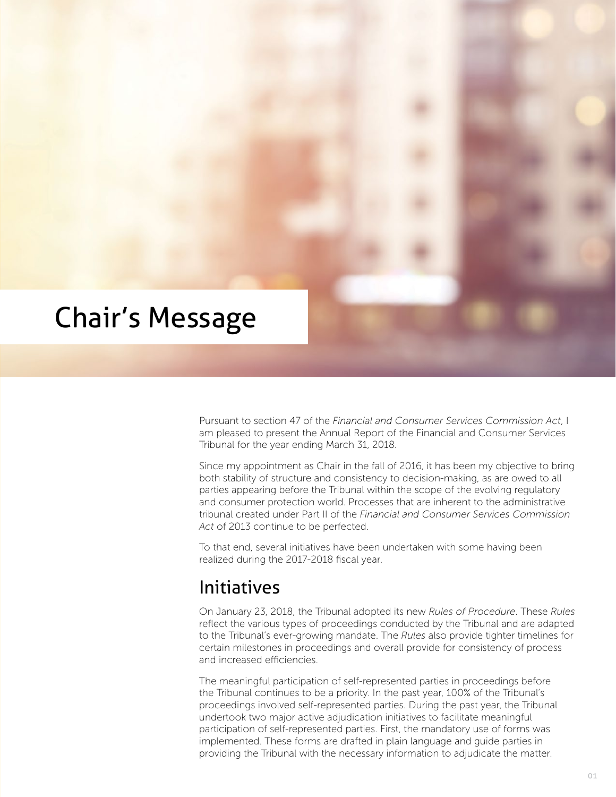

Pursuant to section 47 of the *Financial and Consumer Services Commission Act*, I am pleased to present the Annual Report of the Financial and Consumer Services Tribunal for the year ending March 31, 2018.

Since my appointment as Chair in the fall of 2016, it has been my objective to bring both stability of structure and consistency to decision-making, as are owed to all parties appearing before the Tribunal within the scope of the evolving regulatory and consumer protection world. Processes that are inherent to the administrative tribunal created under Part II of the *Financial and Consumer Services Commission Act* of 2013 continue to be perfected.

To that end, several initiatives have been undertaken with some having been realized during the 2017-2018 fiscal year.

### Initiatives

On January 23, 2018, the Tribunal adopted its new *Rules of Procedure*. These *Rules* reflect the various types of proceedings conducted by the Tribunal and are adapted to the Tribunal's ever-growing mandate. The *Rules* also provide tighter timelines for certain milestones in proceedings and overall provide for consistency of process and increased efficiencies.

The meaningful participation of self-represented parties in proceedings before the Tribunal continues to be a priority. In the past year, 100% of the Tribunal's proceedings involved self-represented parties. During the past year, the Tribunal undertook two major active adjudication initiatives to facilitate meaningful participation of self-represented parties. First, the mandatory use of forms was implemented. These forms are drafted in plain language and guide parties in providing the Tribunal with the necessary information to adjudicate the matter.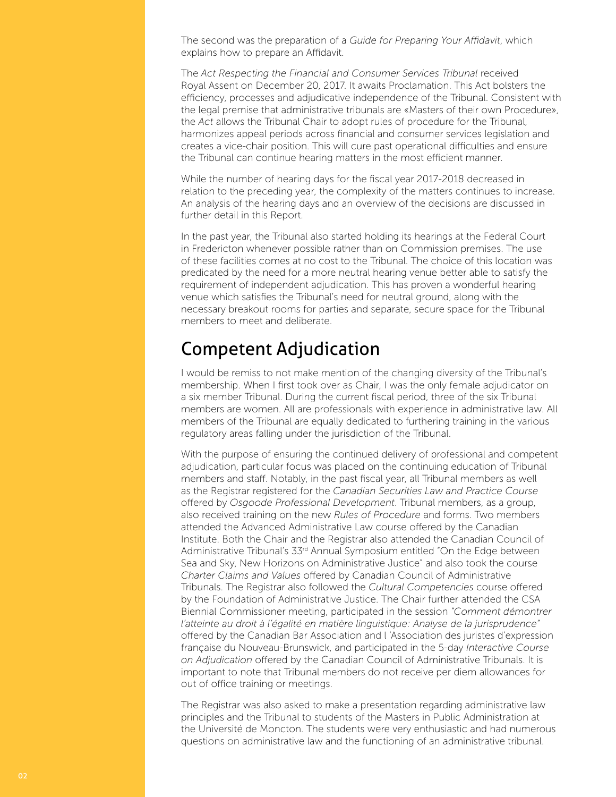The second was the preparation of a *Guide for Preparing Your Affidavit*, which explains how to prepare an Affidavit.

The *Act Respecting the Financial and Consumer Services Tribunal* received Royal Assent on December 20, 2017. It awaits Proclamation. This Act bolsters the efficiency, processes and adjudicative independence of the Tribunal. Consistent with the legal premise that administrative tribunals are «Masters of their own Procedure», the *Act* allows the Tribunal Chair to adopt rules of procedure for the Tribunal, harmonizes appeal periods across financial and consumer services legislation and creates a vice-chair position. This will cure past operational difficulties and ensure the Tribunal can continue hearing matters in the most efficient manner.

While the number of hearing days for the fiscal year 2017-2018 decreased in relation to the preceding year, the complexity of the matters continues to increase. An analysis of the hearing days and an overview of the decisions are discussed in further detail in this Report.

In the past year, the Tribunal also started holding its hearings at the Federal Court in Fredericton whenever possible rather than on Commission premises. The use of these facilities comes at no cost to the Tribunal. The choice of this location was predicated by the need for a more neutral hearing venue better able to satisfy the requirement of independent adjudication. This has proven a wonderful hearing venue which satisfies the Tribunal's need for neutral ground, along with the necessary breakout rooms for parties and separate, secure space for the Tribunal members to meet and deliberate.

### Competent Adjudication

I would be remiss to not make mention of the changing diversity of the Tribunal's membership. When I first took over as Chair, I was the only female adjudicator on a six member Tribunal. During the current fiscal period, three of the six Tribunal members are women. All are professionals with experience in administrative law. All members of the Tribunal are equally dedicated to furthering training in the various regulatory areas falling under the jurisdiction of the Tribunal.

With the purpose of ensuring the continued delivery of professional and competent adjudication, particular focus was placed on the continuing education of Tribunal members and staff. Notably, in the past fiscal year, all Tribunal members as well as the Registrar registered for the *Canadian Securities Law and Practice Course* offered by *Osgoode Professional Development*. Tribunal members, as a group, also received training on the new *Rules of Procedure* and forms. Two members attended the Advanced Administrative Law course offered by the Canadian Institute. Both the Chair and the Registrar also attended the Canadian Council of Administrative Tribunal's 33rd Annual Symposium entitled "On the Edge between Sea and Sky, New Horizons on Administrative Justice" and also took the course *Charter Claims and Values* offered by Canadian Council of Administrative Tribunals. The Registrar also followed the *Cultural Competencies* course offered by the Foundation of Administrative Justice. The Chair further attended the CSA Biennial Commissioner meeting, participated in the session *"Comment démontrer l'atteinte au droit à l'égalité en matière linguistique: Analyse de la jurisprudence"* offered by the Canadian Bar Association and l 'Association des juristes d'expression française du Nouveau-Brunswick, and participated in the 5-day *Interactive Course on Adjudication* offered by the Canadian Council of Administrative Tribunals. It is important to note that Tribunal members do not receive per diem allowances for out of office training or meetings.

The Registrar was also asked to make a presentation regarding administrative law principles and the Tribunal to students of the Masters in Public Administration at the Université de Moncton. The students were very enthusiastic and had numerous questions on administrative law and the functioning of an administrative tribunal.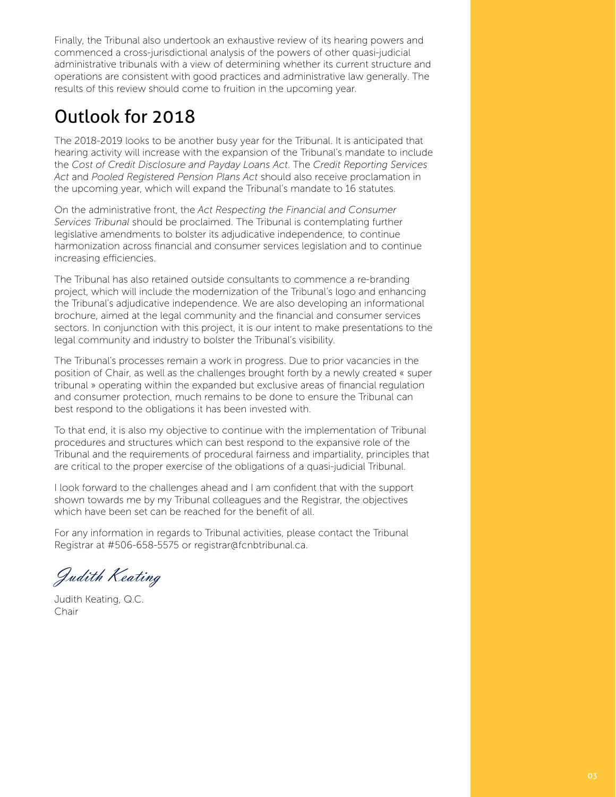Finally, the Tribunal also undertook an exhaustive review of its hearing powers and commenced a cross-jurisdictional analysis of the powers of other quasi-judicial administrative tribunals with a view of determining whether its current structure and operations are consistent with good practices and administrative law generally. The results of this review should come to fruition in the upcoming year.

## Outlook for 2018

The 2018-2019 looks to be another busy year for the Tribunal. It is anticipated that hearing activity will increase with the expansion of the Tribunal's mandate to include the *Cost of Credit Disclosure and Payday Loans Act*. The *Credit Reporting Services Act* and *Pooled Registered Pension Plans Act* should also receive proclamation in the upcoming year, which will expand the Tribunal's mandate to 16 statutes.

On the administrative front, the *Act Respecting the Financial and Consumer Services Tribunal* should be proclaimed. The Tribunal is contemplating further legislative amendments to bolster its adjudicative independence, to continue harmonization across financial and consumer services legislation and to continue increasing efficiencies.

The Tribunal has also retained outside consultants to commence a re-branding project, which will include the modernization of the Tribunal's logo and enhancing the Tribunal's adjudicative independence. We are also developing an informational brochure, aimed at the legal community and the financial and consumer services sectors. In conjunction with this project, it is our intent to make presentations to the legal community and industry to bolster the Tribunal's visibility.

The Tribunal's processes remain a work in progress. Due to prior vacancies in the position of Chair, as well as the challenges brought forth by a newly created « super tribunal » operating within the expanded but exclusive areas of financial regulation and consumer protection, much remains to be done to ensure the Tribunal can best respond to the obligations it has been invested with.

To that end, it is also my objective to continue with the implementation of Tribunal procedures and structures which can best respond to the expansive role of the Tribunal and the requirements of procedural fairness and impartiality, principles that are critical to the proper exercise of the obligations of a quasi-judicial Tribunal.

I look forward to the challenges ahead and I am confident that with the support shown towards me by my Tribunal colleagues and the Registrar, the objectives which have been set can be reached for the benefit of all.

For any information in regards to Tribunal activities, please contact the Tribunal Registrar at #506-658-5575 or registrar@fcnbtribunal.ca.

Judith Keating

Judith Keating, Q.C. Chair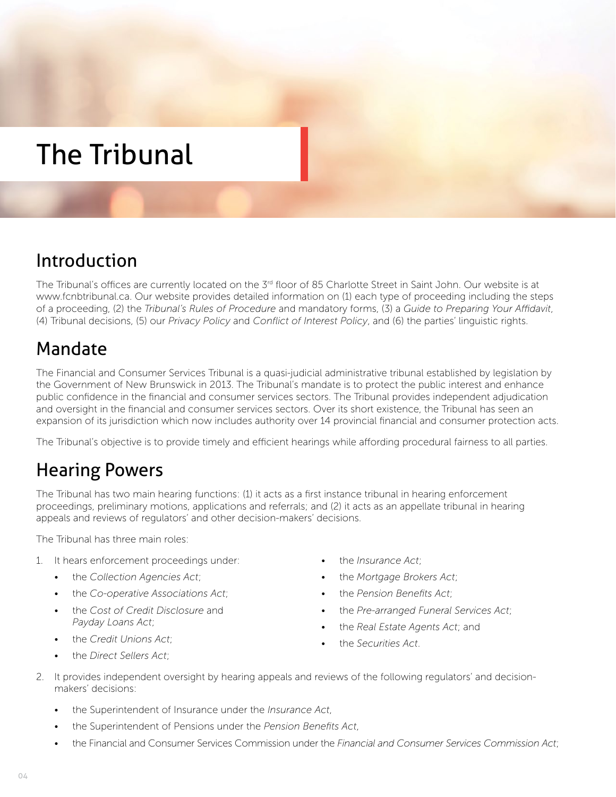# The Tribunal

## Introduction

The Tribunal's offices are currently located on the 3<sup>rd</sup> floor of 85 Charlotte Street in Saint John. Our website is at www.fcnbtribunal.ca. Our website provides detailed information on (1) each type of proceeding including the steps of a proceeding, (2) the *Tribunal's Rules of Procedure* and mandatory forms, (3) a *Guide to Preparing Your Affidavit*, (4) Tribunal decisions, (5) our *Privacy Policy* and *Conflict of Interest Policy*, and (6) the parties' linguistic rights.

## Mandate

The Financial and Consumer Services Tribunal is a quasi-judicial administrative tribunal established by legislation by the Government of New Brunswick in 2013. The Tribunal's mandate is to protect the public interest and enhance public confidence in the financial and consumer services sectors. The Tribunal provides independent adjudication and oversight in the financial and consumer services sectors. Over its short existence, the Tribunal has seen an expansion of its jurisdiction which now includes authority over 14 provincial financial and consumer protection acts.

The Tribunal's objective is to provide timely and efficient hearings while affording procedural fairness to all parties.

### Hearing Powers

The Tribunal has two main hearing functions: (1) it acts as a first instance tribunal in hearing enforcement proceedings, preliminary motions, applications and referrals; and (2) it acts as an appellate tribunal in hearing appeals and reviews of regulators' and other decision-makers' decisions.

The Tribunal has three main roles:

- 1. It hears enforcement proceedings under:
	- the *Collection Agencies Act*;
	- the *Co-operative Associations Act*;
	- the *Cost of Credit Disclosure* and *Payday Loans Act*;
	- the *Credit Unions Act*;

• the *Direct Sellers Act*;

• the *Mortgage Brokers Act*;

• the *Insurance Act*;

- the *Pension Benefits Act*;
- the *Pre-arranged Funeral Services Act*;
- the *Real Estate Agents Act*; and
- the *Securities Act*.
- 2. It provides independent oversight by hearing appeals and reviews of the following regulators' and decisionmakers' decisions:
	- the Superintendent of Insurance under the *Insurance Act*,
	- the Superintendent of Pensions under the *Pension Benefits Act*,
	- the Financial and Consumer Services Commission under the *Financial and Consumer Services Commission Act*;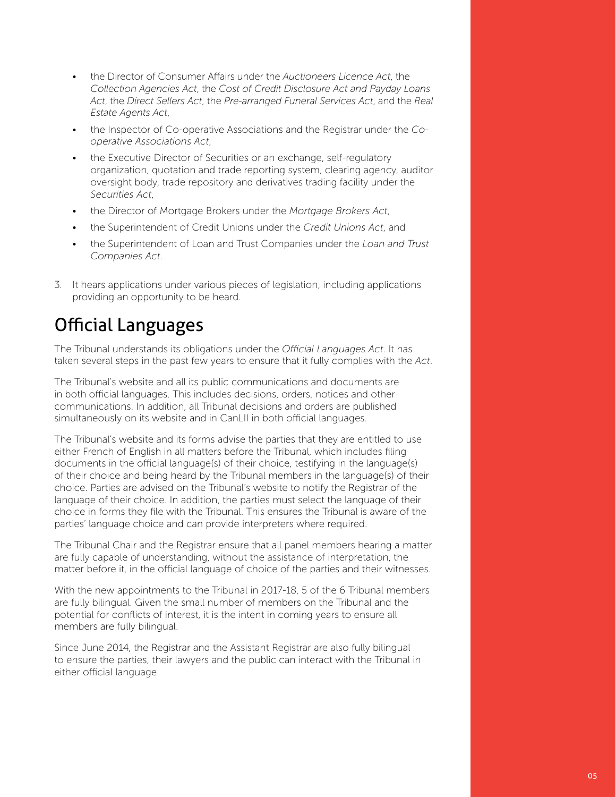- the Director of Consumer Affairs under the *Auctioneers Licence Act*, the *Collection Agencies Act*, the *Cost of Credit Disclosure Act and Payday Loans Act*, the *Direct Sellers Act*, the *Pre-arranged Funeral Services Act*, and the *Real Estate Agents Act*,
- the Inspector of Co-operative Associations and the Registrar under the *Cooperative Associations Act*,
- the Executive Director of Securities or an exchange, self-regulatory organization, quotation and trade reporting system, clearing agency, auditor oversight body, trade repository and derivatives trading facility under the *Securities Act*,
- the Director of Mortgage Brokers under the *Mortgage Brokers Act*,
- the Superintendent of Credit Unions under the *Credit Unions Act*, and
- the Superintendent of Loan and Trust Companies under the *Loan and Trust Companies Act*.
- 3. It hears applications under various pieces of legislation, including applications providing an opportunity to be heard.

### Official Languages

The Tribunal understands its obligations under the *Official Languages Act*. It has taken several steps in the past few years to ensure that it fully complies with the *Act*.

The Tribunal's website and all its public communications and documents are in both official languages. This includes decisions, orders, notices and other communications. In addition, all Tribunal decisions and orders are published simultaneously on its website and in CanLII in both official languages.

The Tribunal's website and its forms advise the parties that they are entitled to use either French of English in all matters before the Tribunal, which includes filing documents in the official language(s) of their choice, testifying in the language(s) of their choice and being heard by the Tribunal members in the language(s) of their choice. Parties are advised on the Tribunal's website to notify the Registrar of the language of their choice. In addition, the parties must select the language of their choice in forms they file with the Tribunal. This ensures the Tribunal is aware of the parties' language choice and can provide interpreters where required.

The Tribunal Chair and the Registrar ensure that all panel members hearing a matter are fully capable of understanding, without the assistance of interpretation, the matter before it, in the official language of choice of the parties and their witnesses.

With the new appointments to the Tribunal in 2017-18, 5 of the 6 Tribunal members are fully bilingual. Given the small number of members on the Tribunal and the potential for conflicts of interest, it is the intent in coming years to ensure all members are fully bilingual.

Since June 2014, the Registrar and the Assistant Registrar are also fully bilingual to ensure the parties, their lawyers and the public can interact with the Tribunal in either official language.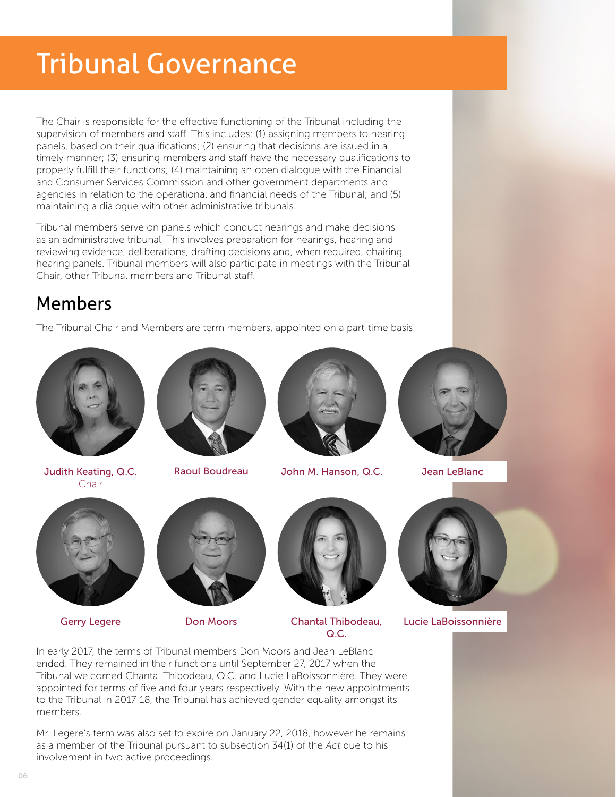# Tribunal Governance

The Chair is responsible for the effective functioning of the Tribunal including the supervision of members and staff. This includes: (1) assigning members to hearing panels, based on their qualifications; (2) ensuring that decisions are issued in a timely manner; (3) ensuring members and staff have the necessary qualifications to properly fulfill their functions; (4) maintaining an open dialogue with the Financial and Consumer Services Commission and other government departments and agencies in relation to the operational and financial needs of the Tribunal; and (5) maintaining a dialogue with other administrative tribunals.

Tribunal members serve on panels which conduct hearings and make decisions as an administrative tribunal. This involves preparation for hearings, hearing and reviewing evidence, deliberations, drafting decisions and, when required, chairing hearing panels. Tribunal members will also participate in meetings with the Tribunal Chair, other Tribunal members and Tribunal staff.

### Members

The Tribunal Chair and Members are term members, appointed on a part-time basis.



Judith Keating, Q.C. Chair



Raoul Boudreau



John M. Hanson, Q.C. Jean LeBlanc





Gerry Legere





Don Moors Chantal Thibodeau,  $OC$ 



Lucie LaBoissonnière

In early 2017, the terms of Tribunal members Don Moors and Jean LeBlanc ended. They remained in their functions until September 27, 2017 when the Tribunal welcomed Chantal Thibodeau, Q.C. and Lucie LaBoissonnière. They were appointed for terms of five and four years respectively. With the new appointments to the Tribunal in 2017-18, the Tribunal has achieved gender equality amongst its members.

Mr. Legere's term was also set to expire on January 22, 2018, however he remains as a member of the Tribunal pursuant to subsection 34(1) of the *Act* due to his involvement in two active proceedings.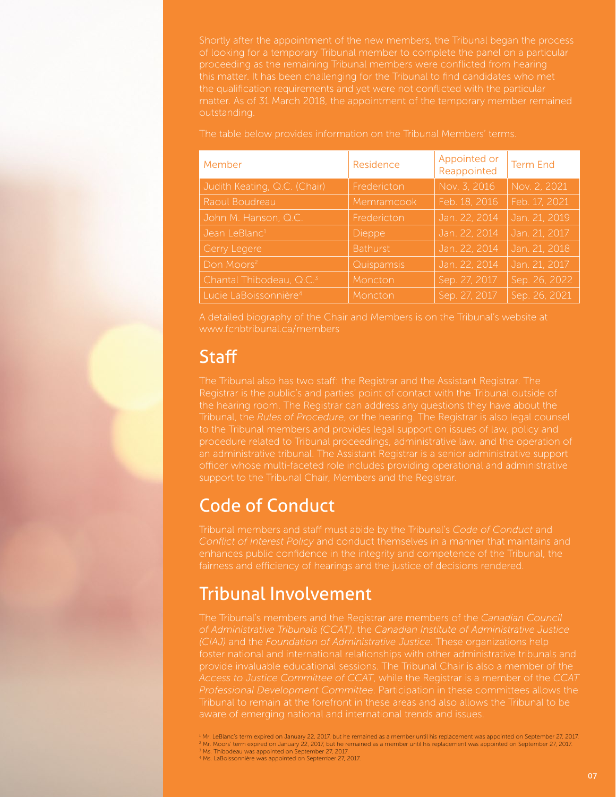Shortly after the appointment of the new members, the Tribunal began the process of looking for a temporary Tribunal member to complete the panel on a particular this matter. It has been challenging for the Tribunal to find candidates who met matter. As of 31 March 2018, the appointment of the temporary member remained outstanding.

| The table below provides information on the Tribunal Members' terms. |  |
|----------------------------------------------------------------------|--|
|----------------------------------------------------------------------|--|

| Member                               | Residence       | Appointed or<br>Reappointed | <b>Term End</b> |
|--------------------------------------|-----------------|-----------------------------|-----------------|
| Judith Keating, Q.C. (Chair)         | Fredericton     | Nov. 3, 2016                | Nov. 2, 2021    |
| Raoul Boudreau                       | Memramcook      | Feb. 18, 2016               | Feb. 17, 2021   |
| John M. Hanson, Q.C.                 | Fredericton     | Jan. 22, 2014               | Jan. 21, 2019   |
| Jean LeBlanc <sup>1</sup>            | Dieppe          | Jan. 22, 2014               | Jan. 21, 2017   |
| Gerry Legere                         | <b>Bathurst</b> | Jan. 22, 2014               | Jan. 21, 2018   |
| Don Moors <sup>2</sup>               | Quispamsis      | Jan. 22, 2014               | Jan. 21, 2017   |
| Chantal Thibodeau, Q.C. <sup>3</sup> | Moncton         | Sep. 27, 2017               | Sep. 26, 2022   |
| Lucie LaBoissonnière <sup>4</sup>    | Moncton         | Sep. 27, 2017               | Sep. 26, 2021   |

A detailed biography of the Chair and Members is on the Tribunal's website at www.fcnbtribunal.ca/members

### **Staff**

the hearing room. The Registrar can address any questions they have about the Tribunal, the *Rules of Procedure*, or the hearing. The Registrar is also legal counsel to the Tribunal members and provides legal support on issues of law, policy and support to the Tribunal Chair, Members and the Registrar.

### Code of Conduct

Tribunal members and staff must abide by the Tribunal's *Code of Conduct* and fairness and efficiency of hearings and the justice of decisions rendered.

## Tribunal Involvement

The Tribunal's members and the Registrar are members of the *Canadian Council of Administrative Tribunals (CCAT)*, the *Canadian Institute of Administrative Justice*  foster national and international relationships with other administrative tribunals and provide invaluable educational sessions. The Tribunal Chair is also a member of the

1 Mr. LeBlanc's term expired on January 22, 2017, but he remained as a member until his replacement was appointed on September 27, 2017. <sup>2</sup> Mr. Moors' term expired on January 22, 2017, but he remained as a member until his replacement was appointed on September 27, 2017.<br><sup>3</sup> Ms. Thibodeau was appointed on September 27, 2017.

<sup>4</sup> Ms. LaBoissonnière was appointed on September 27, 2017.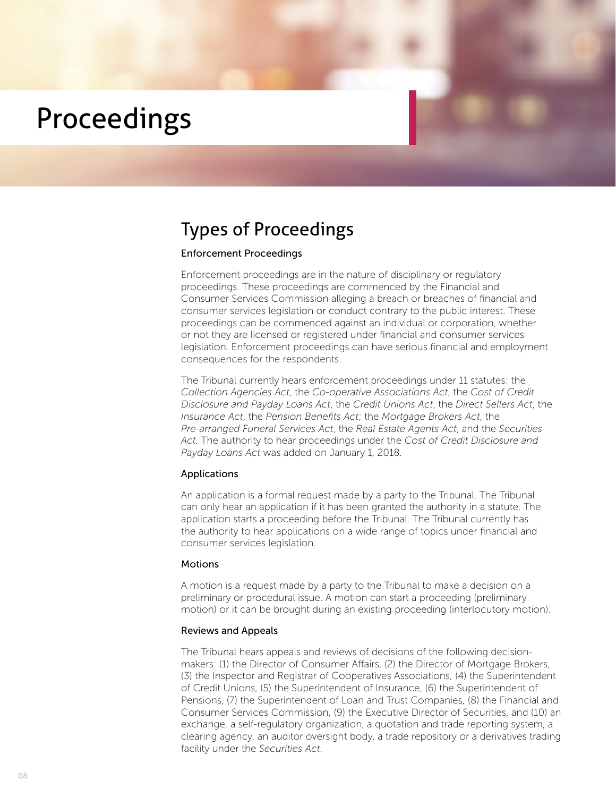# Proceedings

### Types of Proceedings

#### Enforcement Proceedings

Enforcement proceedings are in the nature of disciplinary or regulatory proceedings. These proceedings are commenced by the Financial and Consumer Services Commission alleging a breach or breaches of financial and consumer services legislation or conduct contrary to the public interest. These proceedings can be commenced against an individual or corporation, whether or not they are licensed or registered under financial and consumer services legislation. Enforcement proceedings can have serious financial and employment consequences for the respondents.

The Tribunal currently hears enforcement proceedings under 11 statutes: the *Collection Agencies Act*, the *Co-operative Associations Act*, the *Cost of Credit Disclosure and Payday Loans Act*, the *Credit Unions Act*, the *Direct Sellers Act*, the *Insurance Act*, the *Pension Benefits Act*; the *Mortgage Brokers Act*, the *Pre-arranged Funeral Services Act*, the *Real Estate Agents Act*, and the *Securities Act.* The authority to hear proceedings under the *Cost of Credit Disclosure and Payday Loans Act* was added on January 1, 2018.

#### Applications

An application is a formal request made by a party to the Tribunal. The Tribunal can only hear an application if it has been granted the authority in a statute. The application starts a proceeding before the Tribunal. The Tribunal currently has the authority to hear applications on a wide range of topics under financial and consumer services legislation.

#### **Motions**

A motion is a request made by a party to the Tribunal to make a decision on a preliminary or procedural issue. A motion can start a proceeding (preliminary motion) or it can be brought during an existing proceeding (interlocutory motion).

#### Reviews and Appeals

The Tribunal hears appeals and reviews of decisions of the following decisionmakers: (1) the Director of Consumer Affairs, (2) the Director of Mortgage Brokers, (3) the Inspector and Registrar of Cooperatives Associations, (4) the Superintendent of Credit Unions, (5) the Superintendent of Insurance, (6) the Superintendent of Pensions, (7) the Superintendent of Loan and Trust Companies, (8) the Financial and Consumer Services Commission, (9) the Executive Director of Securities, and (10) an exchange, a self-regulatory organization, a quotation and trade reporting system, a clearing agency, an auditor oversight body, a trade repository or a derivatives trading facility under the *Securities Act*.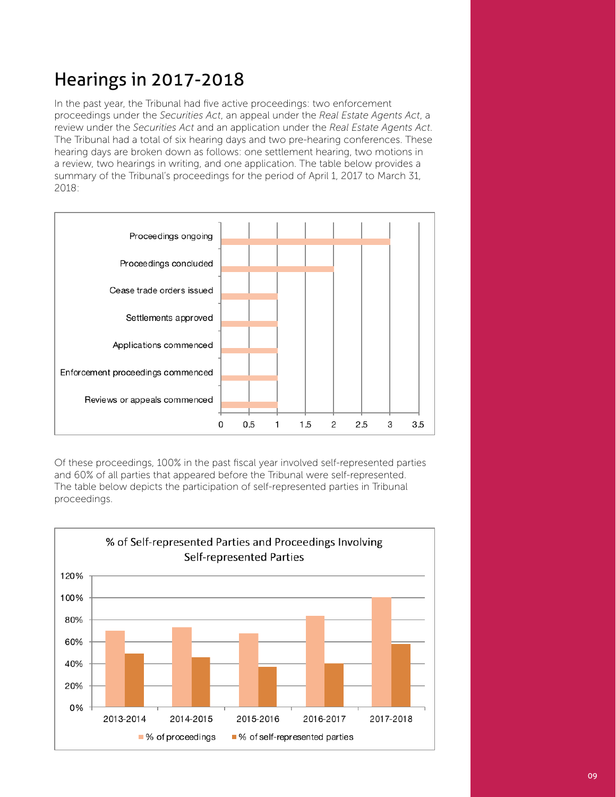## Hearings in 2017-2018

In the past year, the Tribunal had five active proceedings: two enforcement proceedings under the *Securities Act*, an appeal under the *Real Estate Agents Act*, a review under the *Securities Act* and an application under the *Real Estate Agents Act*. The Tribunal had a total of six hearing days and two pre-hearing conferences. These hearing days are broken down as follows: one settlement hearing, two motions in a review, two hearings in writing, and one application. The table below provides a summary of the Tribunal's proceedings for the period of April 1, 2017 to March 31, 2018:



Of these proceedings, 100% in the past fiscal year involved self-represented parties and 60% of all parties that appeared before the Tribunal were self-represented. The table below depicts the participation of self-represented parties in Tribunal proceedings.

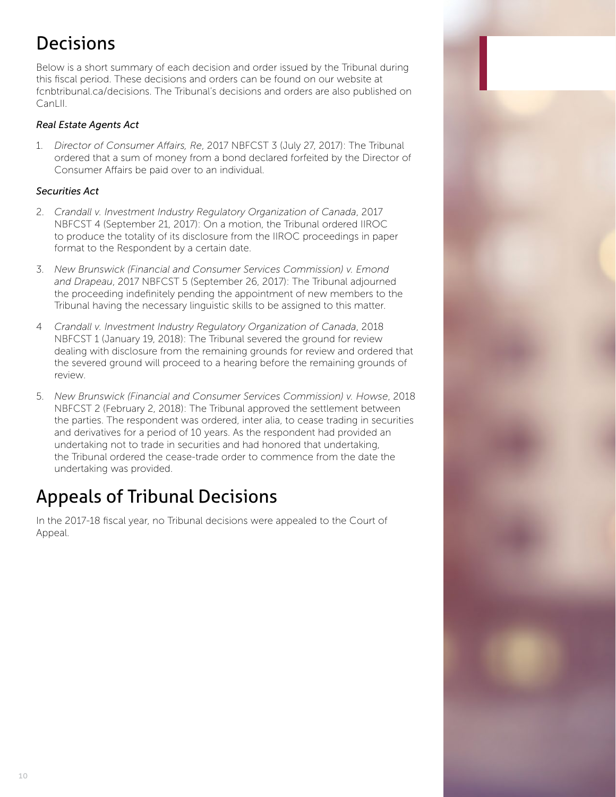## **Decisions**

Below is a short summary of each decision and order issued by the Tribunal during this fiscal period. These decisions and orders can be found on our website at fcnbtribunal.ca/decisions. The Tribunal's decisions and orders are also published on CanLII.

### *Real Estate Agents Act*

1. *Director of Consumer Affairs, Re*, 2017 NBFCST 3 (July 27, 2017): The Tribunal ordered that a sum of money from a bond declared forfeited by the Director of Consumer Affairs be paid over to an individual.

### *Securities Act*

- 2. *Crandall v. Investment Industry Regulatory Organization of Canada*, 2017 NBFCST 4 (September 21, 2017): On a motion, the Tribunal ordered IIROC to produce the totality of its disclosure from the IIROC proceedings in paper format to the Respondent by a certain date.
- 3. *New Brunswick (Financial and Consumer Services Commission) v. Emond and Drapeau*, 2017 NBFCST 5 (September 26, 2017): The Tribunal adjourned the proceeding indefinitely pending the appointment of new members to the Tribunal having the necessary linguistic skills to be assigned to this matter.
- 4 *Crandall v. Investment Industry Regulatory Organization of Canada*, 2018 NBFCST 1 (January 19, 2018): The Tribunal severed the ground for review dealing with disclosure from the remaining grounds for review and ordered that the severed ground will proceed to a hearing before the remaining grounds of review.
- 5. *New Brunswick (Financial and Consumer Services Commission) v. Howse*, 2018 NBFCST 2 (February 2, 2018): The Tribunal approved the settlement between the parties. The respondent was ordered, inter alia, to cease trading in securities and derivatives for a period of 10 years. As the respondent had provided an undertaking not to trade in securities and had honored that undertaking, the Tribunal ordered the cease-trade order to commence from the date the undertaking was provided.

## Appeals of Tribunal Decisions

In the 2017-18 fiscal year, no Tribunal decisions were appealed to the Court of Appeal.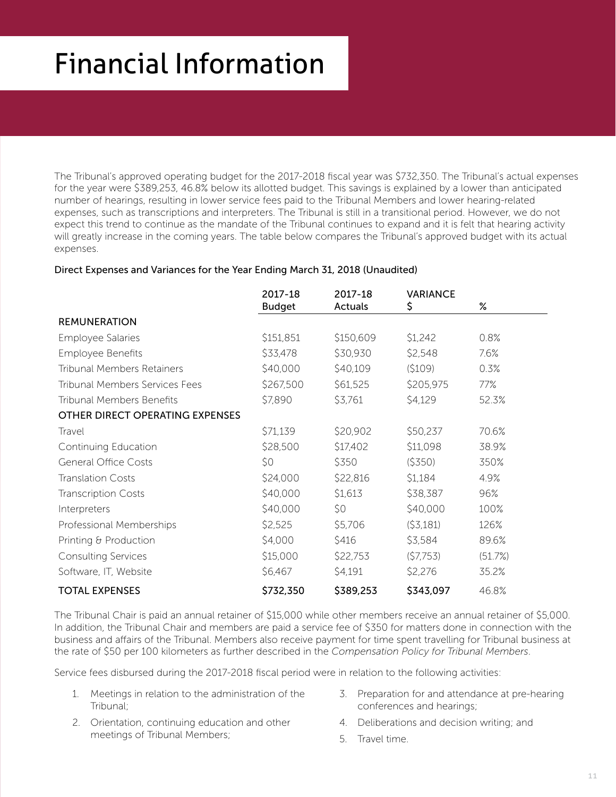# Financial Information

The Tribunal's approved operating budget for the 2017-2018 fiscal year was \$732,350. The Tribunal's actual expenses for the year were \$389,253, 46.8% below its allotted budget. This savings is explained by a lower than anticipated number of hearings, resulting in lower service fees paid to the Tribunal Members and lower hearing-related expenses, such as transcriptions and interpreters. The Tribunal is still in a transitional period. However, we do not expect this trend to continue as the mandate of the Tribunal continues to expand and it is felt that hearing activity will greatly increase in the coming years. The table below compares the Tribunal's approved budget with its actual expenses.

#### Direct Expenses and Variances for the Year Ending March 31, 2018 (Unaudited)

|                                       | 2017-18<br><b>Budget</b> | 2017-18<br>Actuals | <b>VARIANCE</b><br>\$ | $\%$    |
|---------------------------------------|--------------------------|--------------------|-----------------------|---------|
| <b>REMUNERATION</b>                   |                          |                    |                       |         |
| <b>Employee Salaries</b>              | \$151,851                | \$150,609          | \$1,242               | 0.8%    |
| Employee Benefits                     | \$33,478                 | \$30,930           | \$2,548               | 7.6%    |
| <b>Tribunal Members Retainers</b>     | \$40,000                 | \$40,109           | (5109)                | 0.3%    |
| <b>Tribunal Members Services Fees</b> | \$267,500                | \$61,525           | \$205,975             | 77%     |
| <b>Tribunal Members Benefits</b>      | \$7,890                  | \$3,761            | \$4,129               | 52.3%   |
| OTHER DIRECT OPERATING EXPENSES       |                          |                    |                       |         |
| Travel                                | \$71,139                 | \$20,902           | \$50,237              | 70.6%   |
| Continuing Education                  | \$28,500                 | \$17,402           | \$11,098              | 38.9%   |
| <b>General Office Costs</b>           | \$0                      | \$350              | (5350)                | 350%    |
| <b>Translation Costs</b>              | \$24,000                 | \$22,816           | \$1,184               | 4.9%    |
| <b>Transcription Costs</b>            | \$40,000                 | \$1,613            | \$38,387              | 96%     |
| Interpreters                          | \$40,000                 | \$0                | \$40,000              | 100%    |
| Professional Memberships              | \$2,525                  | \$5,706            | (53,181)              | 126%    |
| Printing & Production                 | \$4,000                  | \$416              | \$3,584               | 89.6%   |
| <b>Consulting Services</b>            | \$15,000                 | \$22,753           | (57,753)              | (51.7%) |
| Software, IT, Website                 | \$6,467                  | \$4,191            | \$2,276               | 35.2%   |
| <b>TOTAL EXPENSES</b>                 | \$732,350                | \$389,253          | \$343,097             | 46.8%   |

The Tribunal Chair is paid an annual retainer of \$15,000 while other members receive an annual retainer of \$5,000. In addition, the Tribunal Chair and members are paid a service fee of \$350 for matters done in connection with the business and affairs of the Tribunal. Members also receive payment for time spent travelling for Tribunal business at the rate of \$50 per 100 kilometers as further described in the *Compensation Policy for Tribunal Members*.

Service fees disbursed during the 2017-2018 fiscal period were in relation to the following activities:

- 1. Meetings in relation to the administration of the Tribunal;
- 2. Orientation, continuing education and other meetings of Tribunal Members;
- 3. Preparation for and attendance at pre-hearing conferences and hearings;
- 4. Deliberations and decision writing; and
- 5. Travel time.